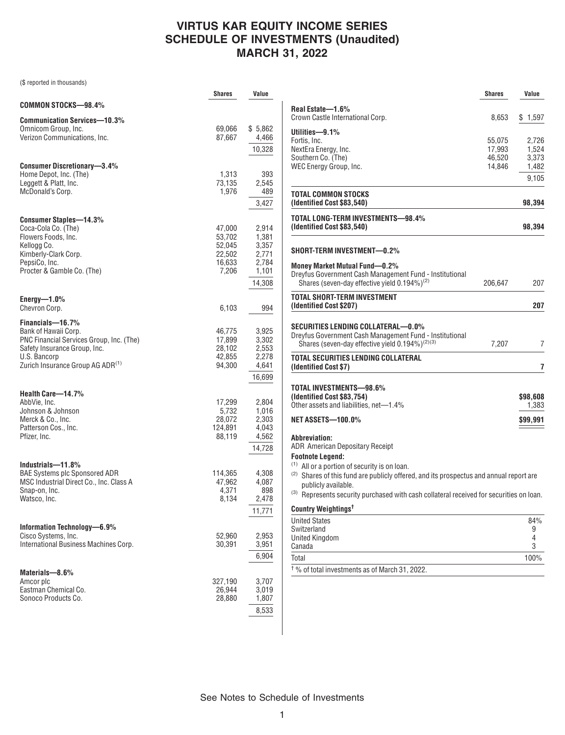## **VIRTUS KAR EQUITY INCOME SERIES SCHEDULE OF INVESTMENTS (Unaudited) MARCH 31, 2022**

(\$ reported in thousands)

|                                                                                                                                                                                      | <b>Shares</b>                                           | Value                                                        |
|--------------------------------------------------------------------------------------------------------------------------------------------------------------------------------------|---------------------------------------------------------|--------------------------------------------------------------|
| <b>COMMON STOCKS-98.4%</b>                                                                                                                                                           |                                                         |                                                              |
| <b>Communication Services-10.3%</b><br>Omnicom Group, Inc.<br>Verizon Communications, Inc.                                                                                           | 69,066<br>87,667                                        | \$5,862<br>4,466<br>10,328                                   |
| <b>Consumer Discretionary-3.4%</b><br>Home Depot, Inc. (The)<br>Leggett & Platt, Inc.<br>McDonald's Corp.                                                                            | 1,313<br>73,135<br>1,976                                | 393<br>2,545<br>489<br>3,427                                 |
| Consumer Staples-14.3%<br>Coca-Cola Co. (The)<br>Flowers Foods, Inc.<br>Kellogg Co.<br>Kimberly-Clark Corp.<br>PepsiCo, Inc.<br>Procter & Gamble Co. (The)                           | 47,000<br>53,702<br>52,045<br>22,502<br>16,633<br>7,206 | 2,914<br>1,381<br>3,357<br>2,771<br>2,784<br>1,101<br>14,308 |
| $Energy-1.0\%$<br>Chevron Corp.                                                                                                                                                      | 6,103                                                   | 994                                                          |
| Financials-16.7%<br>Bank of Hawaii Corp.<br>PNC Financial Services Group, Inc. (The)<br>Safety Insurance Group, Inc.<br>U.S. Bancorp<br>Zurich Insurance Group AG ADR <sup>(1)</sup> | 46,775<br>17,899<br>28,102<br>42,855<br>94,300          | 3,925<br>3,302<br>2,553<br>2,278<br>4,641<br>16,699          |
| Health Care-14.7%<br>AbbVie, Inc.<br>Johnson & Johnson<br>Merck & Co., Inc.<br>Patterson Cos., Inc.<br>Pfizer, Inc.                                                                  | 17,299<br>5,732<br>28,072<br>124,891<br>88,119          | 2,804<br>1,016<br>2,303<br>4,043<br>4,562<br>14,728          |
| Industrials-11.8%<br><b>BAE Systems plc Sponsored ADR</b><br>MSC Industrial Direct Co., Inc. Class A<br>Snap-on, Inc.<br>Watsco, Inc.                                                | 114,365<br>47,962<br>4,371<br>8,134                     | 4,308<br>4,087<br>898<br>2,478<br>11,771                     |
| Information Technology-6.9%<br>Cisco Systems, Inc.<br>International Business Machines Corp.                                                                                          | 52,960<br>30,391                                        | 2,953<br>3,951<br>6,904                                      |
| Materials-8.6%<br>Amcor plc<br>Eastman Chemical Co.<br>Sonoco Products Co.                                                                                                           | 327,190<br>26,944<br>28,880                             | 3,707<br>3,019<br>1,807<br>8,533                             |

|                                                                                                                                                              | Shares           | Value             |
|--------------------------------------------------------------------------------------------------------------------------------------------------------------|------------------|-------------------|
| Real Estate-1.6%                                                                                                                                             |                  |                   |
| Crown Castle International Corp.                                                                                                                             | 8,653            | \$1,597           |
| Utilities-9.1%                                                                                                                                               |                  |                   |
| Fortis, Inc.<br>NextEra Energy, Inc.                                                                                                                         | 55,075<br>17,993 | 2,726<br>1,524    |
| Southern Co. (The)                                                                                                                                           | 46,520           | 3,373             |
| WEC Energy Group, Inc.                                                                                                                                       | 14,846           | 1,482             |
|                                                                                                                                                              |                  | 9,105             |
| TOTAL COMMON STOCKS<br>(Identified Cost \$83,540)                                                                                                            |                  | 98,394            |
| TOTAL LONG-TERM INVESTMENTS—98.4%<br>(Identified Cost \$83,540)                                                                                              |                  | 98,394            |
| SHORT-TERM INVESTMENT—0.2%                                                                                                                                   |                  |                   |
| <b>Money Market Mutual Fund-0.2%</b>                                                                                                                         |                  |                   |
| Dreyfus Government Cash Management Fund - Institutional<br>Shares (seven-day effective yield $0.194\%$ ) <sup>(2)</sup>                                      | 206,647          | 207               |
| TOTAL SHORT-TERM INVESTMENT                                                                                                                                  |                  |                   |
| (Identified Cost \$207)                                                                                                                                      |                  | 207               |
| SECURITIES LENDING COLLATERAL—0.0%<br>Dreyfus Government Cash Management Fund - Institutional<br>Shares (seven-day effective yield 0.194%) <sup>(2)(3)</sup> | 7,207            | 7                 |
| TOTAL SECURITIES LENDING COLLATERAL                                                                                                                          |                  |                   |
| (Identified Cost \$7)                                                                                                                                        |                  | 7                 |
| TOTAL INVESTMENTS—98.6%<br>(Identified Cost \$83,754)<br>Other assets and liabilities, net-1.4%                                                              |                  | \$98,608<br>1,383 |
| NET ASSETS—100.0%                                                                                                                                            |                  | \$99,991          |
| <b>Abbreviation:</b><br>ADR American Depositary Receipt                                                                                                      |                  |                   |
| <b>Footnote Legend:</b>                                                                                                                                      |                  |                   |
| <sup>(1)</sup> All or a portion of security is on loan.                                                                                                      |                  |                   |
| <sup>(2)</sup> Shares of this fund are publicly offered, and its prospectus and annual report are<br>publicly available.                                     |                  |                   |
| (3) Represents security purchased with cash collateral received for securities on loan.                                                                      |                  |                   |
| Country Weightings <sup>t</sup>                                                                                                                              |                  |                   |
| <b>United States</b>                                                                                                                                         |                  | 84%               |
| Switzerland                                                                                                                                                  |                  | 9                 |
| <b>United Kingdom</b><br>Canada                                                                                                                              |                  | 4<br>3            |
| Total                                                                                                                                                        |                  | 100%              |
|                                                                                                                                                              |                  |                   |
| <sup>†</sup> % of total investments as of March 31, 2022.                                                                                                    |                  |                   |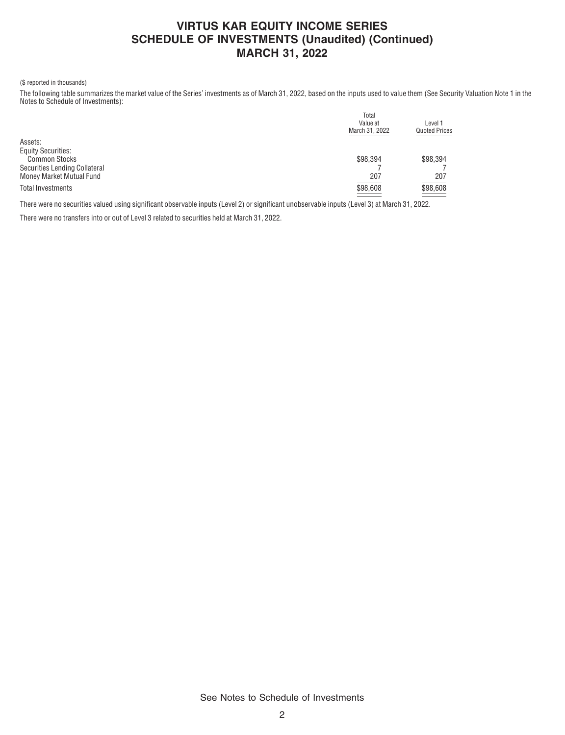### **VIRTUS KAR EQUITY INCOME SERIES SCHEDULE OF INVESTMENTS (Unaudited) (Continued) MARCH 31, 2022**

### (\$ reported in thousands)

The following table summarizes the market value of the Series' investments as of March 31, 2022, based on the inputs used to value them (See Security Valuation Note 1 in the Notes to Schedule of Investments):

|                               | Total<br>Value at<br>March 31, 2022 | Level 1<br><b>Quoted Prices</b>      |
|-------------------------------|-------------------------------------|--------------------------------------|
|                               |                                     |                                      |
| Assets:                       |                                     |                                      |
| <b>Equity Securities:</b>     |                                     |                                      |
| <b>Common Stocks</b>          | \$98.394                            | \$98.394                             |
| Securities Lending Collateral |                                     |                                      |
| Money Market Mutual Fund      | 207                                 | 207                                  |
| <b>Total Investments</b>      | \$98,608                            | \$98,608<br>$\overline{\phantom{a}}$ |

There were no securities valued using significant observable inputs (Level 2) or significant unobservable inputs (Level 3) at March 31, 2022.

There were no transfers into or out of Level 3 related to securities held at March 31, 2022.

See Notes to Schedule of Investments